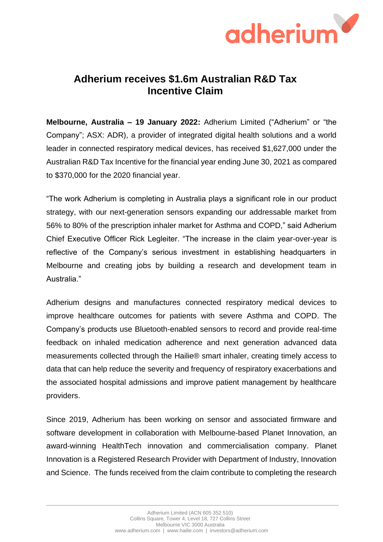

## **Adherium receives \$1.6m Australian R&D Tax Incentive Claim**

**Melbourne, Australia – 19 January 2022:** Adherium Limited ("Adherium" or "the Company"; ASX: ADR), a provider of integrated digital health solutions and a world leader in connected respiratory medical devices, has received \$1,627,000 under the Australian R&D Tax Incentive for the financial year ending June 30, 2021 as compared to \$370,000 for the 2020 financial year.

"The work Adherium is completing in Australia plays a significant role in our product strategy, with our next-generation sensors expanding our addressable market from 56% to 80% of the prescription inhaler market for Asthma and COPD," said Adherium Chief Executive Officer Rick Legleiter. "The increase in the claim year-over-year is reflective of the Company's serious investment in establishing headquarters in Melbourne and creating jobs by building a research and development team in Australia."

Adherium designs and manufactures connected respiratory medical devices to improve healthcare outcomes for patients with severe Asthma and COPD. The Company's products use Bluetooth-enabled sensors to record and provide real-time feedback on inhaled medication adherence and next generation advanced data measurements collected through the Hailie® smart inhaler, creating timely access to data that can help reduce the severity and frequency of respiratory exacerbations and the associated hospital admissions and improve patient management by healthcare providers.

Since 2019, Adherium has been working on sensor and associated firmware and software development in collaboration with Melbourne-based Planet Innovation, an award-winning HealthTech innovation and commercialisation company. Planet Innovation is a Registered Research Provider with Department of Industry, Innovation and Science. The funds received from the claim contribute to completing the research